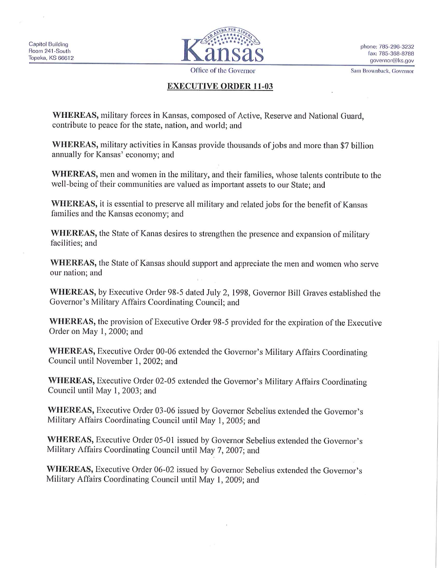

Office of the Governor

Sam Brownback, Governor

## **EXECUTIVE ORDER 11-03**

**WHEREAS,** military forces in Kansas, composed of Active, Reserve and National Guard, contribute to peace for the state, nation, and world; and

**WHEREAS,** military activities in Kansas provide thousands of jobs and more than \$7 billion mmually for Kansas' economy; and

**WHEREAS,** men and women in the military, and their families, whose talents contribute to the well-being of their communities are valued as important assets to our State; and

**WHEREAS,** it is essential to preserve all military and related jobs for the benefit of Kansas families and the Kansas economy; and

**WHEREAS,** the State of Kanas desires to strengthen the presence and expansion of military facilities; and

**WHEREAS,** the State of Kansas should support and appreciate the men and women who serve our nation; and

**WHEREAS,** by Executive Order 98-5 dated July 2, 1998, Governor Bill Graves established the Governor's Military Affairs Coordinating Council; and

**WHEREAS,** the provision of Executive Order 98-5 provided for the expiration of the Executive Order on May **1,** 2000; and

WHEREAS, Executive Order 00-06 extended the Governor's Military Affairs Coordinating Council until November 1, 2002; and

**WHEREAS,** Executive Order 02-05 extended the Governor's Military Affairs Coordinating Council until May l, 2003; and

**WHEREAS,** Executive Order 03-06 issued by Governor Sebelius extended the Governor's Military Affairs Coordinating Council until May **l,** 2005; and

WHEREAS, Executive Order 05-01 issued by Governor Sebelius extended the Governor's Military Affairs Coordinating Council until May 7, 2007; and

**WHEREAS,** Executive Order 06-02 issued by Governor Sebelius extended the Governor's Military Affairs Coordinating Council until May **1,** 2009; and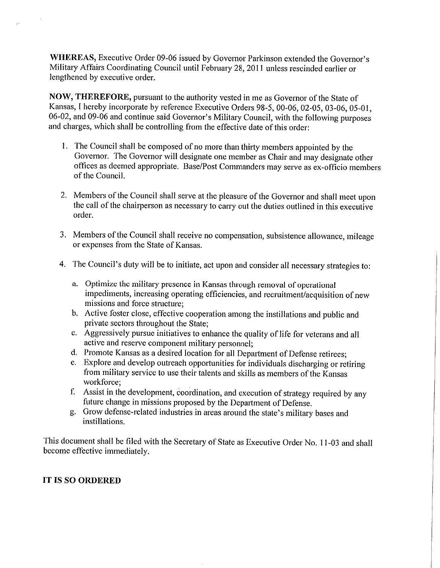**WHEREAS,** Executive Order 09-06 issued by Governor Parkinson extended the Governor's Military Affairs Coordinating Council until February 28, 2011 unless rescinded earlier or lengthened by executive order.

**NOW, THEREFORE,** pursuant to the authority vested in me as Governor of the State of Kansas, I hereby incorporate by reference Executive Orders 98-5, 00-06, 02-05, 03-06, 05-01, 06-02, and 09-06 and continue said Governor's Military Council, with the following purposes and charges, which shall be controlling from the effective date of this order:

- I. The Council shall be composed of no more than thirty members appointed by the Governor. The Governor will designate one member as Chair and may designate other offices as deemed appropriate. Base/Post Commanders may serve as ex-officio members of the Council.
- 2. Members of the Council shall serve at the pleasure of the Governor and shall meet upon the call of the chairperson as necessary to carry out the duties outlined in this executive order.
- 3. Members of the Council shall receive no compensation, subsistence allowance, mileage or expenses from the State of Kansas.
- 4. The Council's duty will be to initiate, act upon and consider all necessary strategies to:
	- a. Optimize the military presence in Kansas through removal of operational impediments, increasing operating efficiencies, and recruitment/acquisition of new missions and force structure;
	- b. Active foster close, effective cooperation among the instillations and public and private sectors throughout the State;
	- c. Aggressively pursue initiatives to enhance the quality of life for veterans and all active and reserve component military personnel;
	- d. Promote Kansas as a desired location for all Department of Defense retirees;
	- e. Explore and develop outreach opportunities for individuals discharging or retiring from military service to use their talents and skills as members of the Kansas workforce;
	- f. Assist in the development, coordination, and execution of strategy required by any future change in missions proposed by the Department of Defense.
	- g. Grow defense-related industries in areas around the state's military bases and instillations.

This document shall be filed with the Secretary of State as Executive Order No. 11-03 and shall become effective immediately.

## **IT IS SO ORDERED**